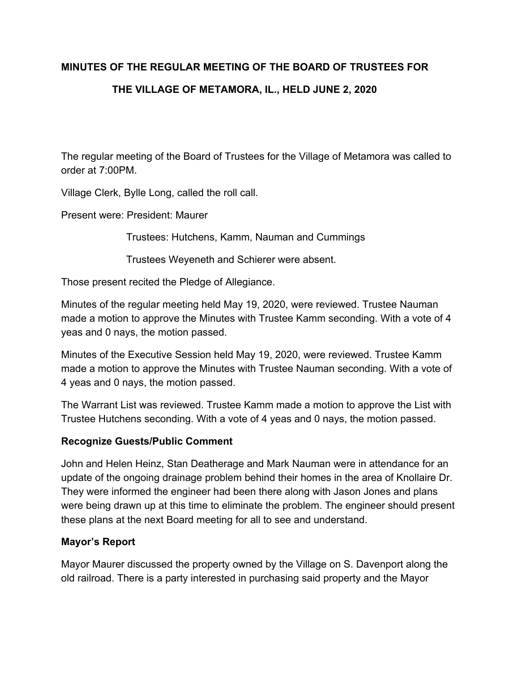# **MINUTES OF THE REGULAR MEETING OF THE BOARD OF TRUSTEES FOR**

# **THE VILLAGE OF METAMORA, IL., HELD JUNE 2, 2020**

The regular meeting of the Board of Trustees for the Village of Metamora was called to order at 7:00PM.

Village Clerk, Bylle Long, called the roll call.

Present were: President: Maurer

Trustees: Hutchens, Kamm, Nauman and Cummings

Trustees Weyeneth and Schierer were absent.

Those present recited the Pledge of Allegiance.

Minutes of the regular meeting held May 19, 2020, were reviewed. Trustee Nauman made a motion to approve the Minutes with Trustee Kamm seconding. With a vote of 4 yeas and 0 nays, the motion passed.

Minutes of the Executive Session held May 19, 2020, were reviewed. Trustee Kamm made a motion to approve the Minutes with Trustee Nauman seconding. With a vote of 4 yeas and 0 nays, the motion passed.

The Warrant List was reviewed. Trustee Kamm made a motion to approve the List with Trustee Hutchens seconding. With a vote of 4 yeas and 0 nays, the motion passed.

# **Recognize Guests/Public Comment**

John and Helen Heinz, Stan Deatherage and Mark Nauman were in attendance for an update of the ongoing drainage problem behind their homes in the area of Knollaire Dr. They were informed the engineer had been there along with Jason Jones and plans were being drawn up at this time to eliminate the problem. The engineer should present these plans at the next Board meeting for all to see and understand.

# **Mayor's Report**

Mayor Maurer discussed the property owned by the Village on S. Davenport along the old railroad. There is a party interested in purchasing said property and the Mayor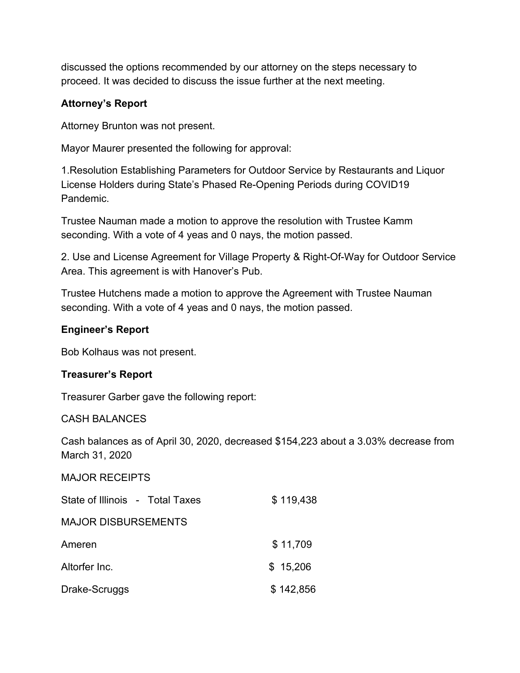discussed the options recommended by our attorney on the steps necessary to proceed. It was decided to discuss the issue further at the next meeting.

# **Attorney's Report**

Attorney Brunton was not present.

Mayor Maurer presented the following for approval:

1.Resolution Establishing Parameters for Outdoor Service by Restaurants and Liquor License Holders during State's Phased Re-Opening Periods during COVID19 Pandemic.

Trustee Nauman made a motion to approve the resolution with Trustee Kamm seconding. With a vote of 4 yeas and 0 nays, the motion passed.

2. Use and License Agreement for Village Property & Right-Of-Way for Outdoor Service Area. This agreement is with Hanover's Pub.

Trustee Hutchens made a motion to approve the Agreement with Trustee Nauman seconding. With a vote of 4 yeas and 0 nays, the motion passed.

# **Engineer's Report**

Bob Kolhaus was not present.

# **Treasurer's Report**

Treasurer Garber gave the following report:

## CASH BALANCES

Cash balances as of April 30, 2020, decreased \$154,223 about a 3.03% decrease from March 31, 2020

## MAJOR RECEIPTS

| State of Illinois - Total Taxes | \$119,438 |
|---------------------------------|-----------|
| <b>MAJOR DISBURSEMENTS</b>      |           |
| Ameren                          | \$11,709  |
| Altorfer Inc.                   | \$15,206  |
| Drake-Scruggs                   | \$142,856 |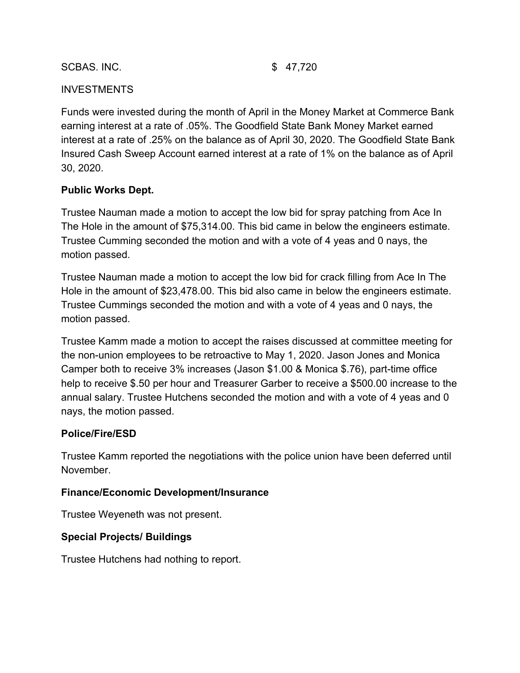### SCBAS. INC. \$ 47,720

## **INVESTMENTS**

Funds were invested during the month of April in the Money Market at Commerce Bank earning interest at a rate of .05%. The Goodfield State Bank Money Market earned interest at a rate of .25% on the balance as of April 30, 2020. The Goodfield State Bank Insured Cash Sweep Account earned interest at a rate of 1% on the balance as of April 30, 2020.

## **Public Works Dept.**

Trustee Nauman made a motion to accept the low bid for spray patching from Ace In The Hole in the amount of \$75,314.00. This bid came in below the engineers estimate. Trustee Cumming seconded the motion and with a vote of 4 yeas and 0 nays, the motion passed.

Trustee Nauman made a motion to accept the low bid for crack filling from Ace In The Hole in the amount of \$23,478.00. This bid also came in below the engineers estimate. Trustee Cummings seconded the motion and with a vote of 4 yeas and 0 nays, the motion passed.

Trustee Kamm made a motion to accept the raises discussed at committee meeting for the non-union employees to be retroactive to May 1, 2020. Jason Jones and Monica Camper both to receive 3% increases (Jason \$1.00 & Monica \$.76), part-time office help to receive \$.50 per hour and Treasurer Garber to receive a \$500.00 increase to the annual salary. Trustee Hutchens seconded the motion and with a vote of 4 yeas and 0 nays, the motion passed.

## **Police/Fire/ESD**

Trustee Kamm reported the negotiations with the police union have been deferred until November.

## **Finance/Economic Development/Insurance**

Trustee Weyeneth was not present.

## **Special Projects/ Buildings**

Trustee Hutchens had nothing to report.